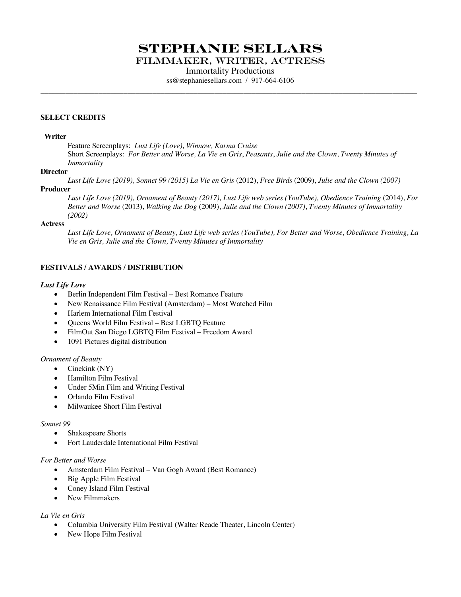# **Stephanie Sellars**

Filmmaker, writer, Actress

Immortality Productions

ss@stephaniesellars.com / 917-664-6106 **\_\_\_\_\_\_\_\_\_\_\_\_\_\_\_\_\_\_\_\_\_\_\_\_\_\_\_\_\_\_\_\_\_\_\_\_\_\_\_\_\_\_\_\_\_\_\_\_\_\_\_\_\_\_\_\_\_\_\_\_\_\_\_\_\_\_\_\_\_\_\_\_\_\_\_\_\_\_\_\_\_\_\_\_\_\_\_\_\_\_\_**

### **SELECT CREDITS**

#### **Writer**

Feature Screenplays: *Lust Life (Love), Winnow, Karma Cruise* Short Screenplays: *For Better and Worse, La Vie en Gris*, *Peasants*, *Julie and the Clown*, *Twenty Minutes of Immortality*

### **Director**

*Lust Life Love (2019), Sonnet 99 (2015) La Vie en Gris* (2012), *Free Birds* (2009), *Julie and the Clown (2007)* **Producer**

*Lust Life Love (2019), Ornament of Beauty (2017), Lust Life web series (YouTube), Obedience Training* (2014), *For Better and Worse* (2013), *Walking the Dog* (2009), *Julie and the Clown (2007)*, *Twenty Minutes of Immortality (2002)*

### **Actress**

*Lust Life Love, Ornament of Beauty, Lust Life web series (YouTube), For Better and Worse, Obedience Training, La Vie en Gris, Julie and the Clown, Twenty Minutes of Immortality*

# **FESTIVALS / AWARDS / DISTRIBUTION**

### *Lust Life Love*

- Berlin Independent Film Festival Best Romance Feature
- New Renaissance Film Festival (Amsterdam) Most Watched Film
- Harlem International Film Festival
- Queens World Film Festival Best LGBTQ Feature
- FilmOut San Diego LGBTQ Film Festival Freedom Award
- 1091 Pictures digital distribution

#### *Ornament of Beauty*

- Cinekink (NY)
- Hamilton Film Festival
- Under 5Min Film and Writing Festival
- Orlando Film Festival
- Milwaukee Short Film Festival

#### *Sonnet 99*

- Shakespeare Shorts
- Fort Lauderdale International Film Festival

### *For Better and Worse*

- Amsterdam Film Festival Van Gogh Award (Best Romance)
- Big Apple Film Festival
- Coney Island Film Festival
- New Filmmakers

#### *La Vie en Gris*

- Columbia University Film Festival (Walter Reade Theater, Lincoln Center)
- New Hope Film Festival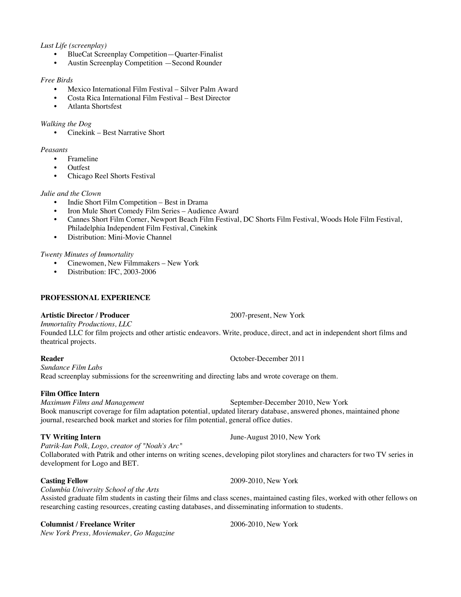# *Lust Life (screenplay)*

- BlueCat Screenplay Competition—Quarter-Finalist
- Austin Screenplay Competition —Second Rounder

# *Free Birds*

- Mexico International Film Festival Silver Palm Award
- Costa Rica International Film Festival Best Director
- Atlanta Shortsfest

# *Walking the Dog*

• Cinekink – Best Narrative Short

# *Peasants*

- **Frameline**
- Outfest
- Chicago Reel Shorts Festival

# *Julie and the Clown*

- Indie Short Film Competition Best in Drama
- Iron Mule Short Comedy Film Series Audience Award
- Cannes Short Film Corner, Newport Beach Film Festival, DC Shorts Film Festival, Woods Hole Film Festival, Philadelphia Independent Film Festival, Cinekink
- Distribution: Mini-Movie Channel

# *Twenty Minutes of Immortality*

- Cinewomen, New Filmmakers New York
- Distribution: IFC, 2003-2006

# **PROFESSIONAL EXPERIENCE**

# **Artistic Director / Producer** 2007-present, New York

*Immortality Productions, LLC* Founded LLC for film projects and other artistic endeavors. Write, produce, direct, and act in independent short films and theatrical projects.

*Sundance Film Labs* Read screenplay submissions for the screenwriting and directing labs and wrote coverage on them.

**Film Office Intern** September-December 2010, New York Book manuscript coverage for film adaptation potential, updated literary database, answered phones, maintained phone journal, researched book market and stories for film potential, general office duties.

*Patrik-Ian Polk, Logo, creator of "Noah's Arc"* Collaborated with Patrik and other interns on writing scenes, developing pilot storylines and characters for two TV series in

development for Logo and BET.

*Columbia University School of the Arts*

Assisted graduate film students in casting their films and class scenes, maintained casting files, worked with other fellows on researching casting resources, creating casting databases, and disseminating information to students.

# **Columnist / Freelance Writer** 2006-2010, New York

*New York Press, Moviemaker, Go Magazine*

**Reader** October-December 2011

**TV Writing Intern June-August 2010, New York** 

Casting Fellow 2009-2010, New York